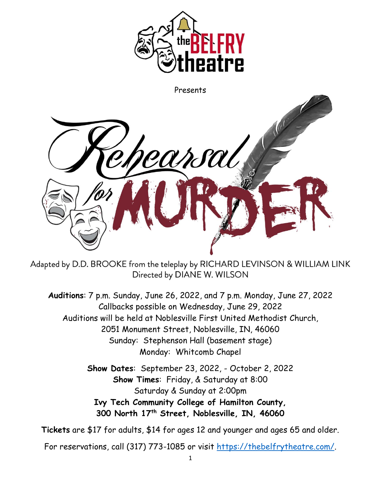

Presents



Adapted by D.D. BROOKE from the teleplay by RICHARD LEVINSON & WILLIAM LINK Directed by DIANE W. WILSON

**Auditions**: 7 p.m. Sunday, June 26, 2022, and 7 p.m. Monday, June 27, 2022 Callbacks possible on Wednesday, June 29, 2022 Auditions will be held at Noblesville First United Methodist Church, 2051 Monument Street, Noblesville, IN, 46060 Sunday: Stephenson Hall (basement stage) Monday: Whitcomb Chapel

> **Show Dates**: September 23, 2022, - October 2, 2022 **Show Times**: Friday, & Saturday at 8:00 Saturday & Sunday at 2:00pm **Ivy Tech Community College of Hamilton County, 300 North 17th Street, Noblesville, IN, 46060**

**Tickets** are \$17 for adults, \$14 for ages 12 and younger and ages 65 and older.

For reservations, call (317) 773-1085 or visit [https://thebelfrytheatre.com/.](https://thebelfrytheatre.com/)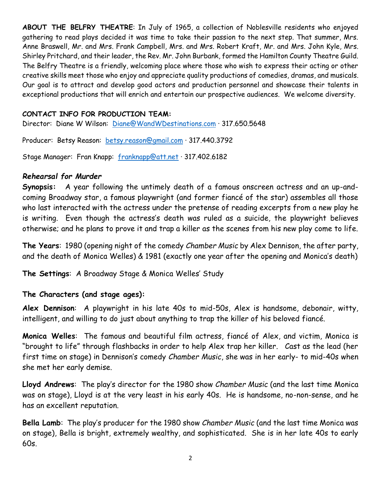**ABOUT THE BELFRY THEATRE**: In July of 1965, a collection of Noblesville residents who enjoyed gathering to read plays decided it was time to take their passion to the next step. That summer, Mrs. Anne Braswell, Mr. and Mrs. Frank Campbell, Mrs. and Mrs. Robert Kraft, Mr. and Mrs. John Kyle, Mrs. Shirley Pritchard, and their leader, the Rev. Mr. John Burbank, formed the Hamilton County Theatre Guild. The Belfry Theatre is a friendly, welcoming place where those who wish to express their acting or other creative skills meet those who enjoy and appreciate quality productions of comedies, dramas, and musicals. Our goal is to attract and develop good actors and production personnel and showcase their talents in exceptional productions that will enrich and entertain our prospective audiences. We welcome diversity.

#### **CONTACT INFO FOR PRODUCTION TEAM:**

Director: Diane W Wilson: [Diane@WandWDestinations.com](mailto:Diane@WandWDestinations.com) ∙ 317.650.5648

Producer: Betsy Reason: [betsy.reason@gmail.com](mailto:betsy.reason@gmail.com) ∙ 317.440.3792

Stage Manager: Fran Knapp: [franknapp@att.net](mailto:franknapp@att.net) ∙ 317.402.6182

## *Rehearsal for Murder*

**Synopsis:** A year following the untimely death of a famous onscreen actress and an up-andcoming Broadway star, a famous playwright (and former fiancé of the star) assembles all those who last interacted with the actress under the pretense of reading excerpts from a new play he is writing. Even though the actress's death was ruled as a suicide, the playwright believes otherwise; and he plans to prove it and trap a killer as the scenes from his new play come to life.

**The Years**: 1980 (opening night of the comedy *Chamber Music* by Alex Dennison, the after party, and the death of Monica Welles) & 1981 (exactly one year after the opening and Monica's death)

**The Settings**: A Broadway Stage & Monica Welles' Study

# **The Characters (and stage ages):**

**Alex Dennison**: A playwright in his late 40s to mid-50s, Alex is handsome, debonair, witty, intelligent, and willing to do just about anything to trap the killer of his beloved fiancé.

**Monica Welles**: The famous and beautiful film actress, fiancé of Alex, and victim, Monica is "brought to life" through flashbacks in order to help Alex trap her killer. Cast as the lead (her first time on stage) in Dennison's comedy *Chamber Music*, she was in her early- to mid-40s when she met her early demise.

**Lloyd Andrews**: The play's director for the 1980 show *Chamber Music* (and the last time Monica was on stage), Lloyd is at the very least in his early 40s. He is handsome, no-non-sense, and he has an excellent reputation.

**Bella Lamb**: The play's producer for the 1980 show *Chamber Music* (and the last time Monica was on stage), Bella is bright, extremely wealthy, and sophisticated. She is in her late 40s to early  $60s$ .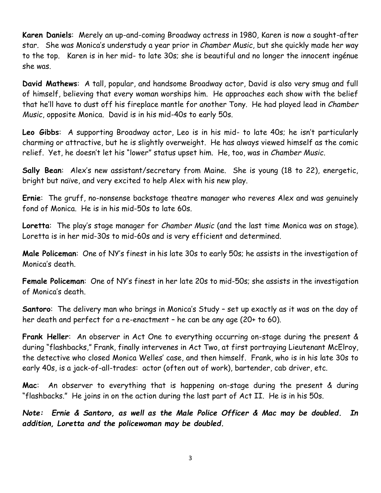**Karen Daniels**: Merely an up-and-coming Broadway actress in 1980, Karen is now a sought-after star. She was Monica's understudy a year prior in *Chamber Music*, but she quickly made her way to the top. Karen is in her mid- to late 30s; she is beautiful and no longer the innocent ingénue she was.

**David Mathews**: A tall, popular, and handsome Broadway actor, David is also very smug and full of himself, believing that every woman worships him. He approaches each show with the belief that he'll have to dust off his fireplace mantle for another Tony. He had played lead in *Chamber Music*, opposite Monica. David is in his mid-40s to early 50s.

**Leo Gibbs**: A supporting Broadway actor, Leo is in his mid- to late 40s; he isn't particularly charming or attractive, but he is slightly overweight. He has always viewed himself as the comic relief. Yet, he doesn't let his "lower" status upset him. He, too, was in *Chamber Music.*

**Sally Bean**: Alex's new assistant/secretary from Maine. She is young (18 to 22), energetic, bright but naïve, and very excited to help Alex with his new play.

**Ernie**: The gruff, no-nonsense backstage theatre manager who reveres Alex and was genuinely fond of Monica. He is in his mid-50s to late 60s.

**Loretta**: The play's stage manager for *Chamber Music* (and the last time Monica was on stage). Loretta is in her mid-30s to mid-60s and is very efficient and determined.

**Male Policeman**: One of NY's finest in his late 30s to early 50s; he assists in the investigation of Monica's death.

**Female Policeman**: One of NY's finest in her late 20s to mid-50s; she assists in the investigation of Monica's death.

**Santoro**: The delivery man who brings in Monica's Study – set up exactly as it was on the day of her death and perfect for a re-enactment – he can be any age (20+ to 60).

**Frank Heller**: An observer in Act One to everything occurring on-stage during the present & during "flashbacks," Frank, finally intervenes in Act Two, at first portraying Lieutenant McElroy, the detective who closed Monica Welles' case, and then himself. Frank, who is in his late 30s to early 40s, is a jack-of-all-trades: actor (often out of work), bartender, cab driver, etc.

**Mac**: An observer to everything that is happening on-stage during the present & during "flashbacks." He joins in on the action during the last part of Act II. He is in his 50s.

*Note: Ernie & Santoro, as well as the Male Police Officer & Mac may be doubled. In addition, Loretta and the policewoman may be doubled.*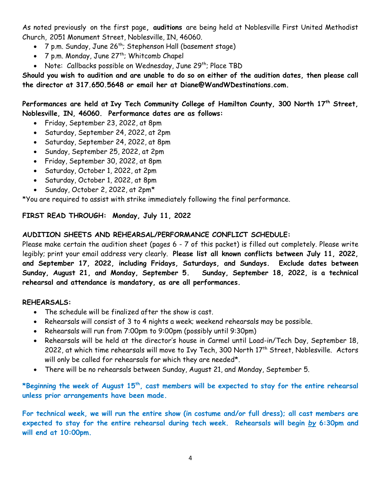As noted previously on the first page**, auditions** are being held at Noblesville First United Methodist Church, 2051 Monument Street, Noblesville, IN, 46060.

- $7$  p.m. Sunday, June 26<sup>th</sup>; Stephenson Hall (basement stage)
- 7 p.m. Monday, June 27<sup>th</sup>; Whitcomb Chapel
- Note: Callbacks possible on Wednesday, June 29<sup>th</sup>; Place TBD

**Should you wish to audition and are unable to do so on either of the audition dates, then please call the director at 317.650.5648 or email her at Diane@WandWDestinations.com.**

**Performances are held at Ivy Tech Community College of Hamilton County, 300 North 17th Street, Noblesville, IN, 46060. Performance dates are as follows:**

- Friday, September 23, 2022, at 8pm
- Saturday, September 24, 2022, at 2pm
- Saturday, September 24, 2022, at 8pm
- Sunday, September 25, 2022, at 2pm
- Friday, September 30, 2022, at 8pm
- Saturday, October 1, 2022, at 2pm
- Saturday, October 1, 2022, at 8pm
- Sunday, October 2, 2022, at 2pm\*

\*You are required to assist with strike immediately following the final performance.

#### **FIRST READ THROUGH: Monday, July 11, 2022**

#### **AUDITION SHEETS AND REHEARSAL/PERFORMANCE CONFLICT SCHEDULE:**

Please make certain the audition sheet (pages 6 - 7 of this packet) is filled out completely. Please write legibly; print your email address very clearly. **Please list all known conflicts between July 11, 2022, and September 17, 2022, including Fridays, Saturdays, and Sundays. Exclude dates between Sunday, August 21, and Monday, September 5. Sunday, September 18, 2022, is a technical rehearsal and attendance is mandatory, as are all performances.**

#### **REHEARSALS:**

- The schedule will be finalized after the show is cast.
- Rehearsals will consist of 3 to 4 nights a week; weekend rehearsals may be possible.
- Rehearsals will run from 7:00pm to 9:00pm (possibly until 9:30pm)
- Rehearsals will be held at the director's house in Carmel until Load-in/Tech Day, September 18, 2022, at which time rehearsals will move to Ivy Tech, 300 North 17<sup>th</sup> Street, Noblesville. Actors will only be called for rehearsals for which they are needed\*.
- There will be no rehearsals between Sunday, August 21, and Monday, September 5.

**\*Beginning the week of August 15th , cast members will be expected to stay for the entire rehearsal unless prior arrangements have been made.** 

**For technical week, we will run the entire show (in costume and/or full dress); all cast members are expected to stay for the entire rehearsal during tech week. Rehearsals will begin** *by* **6:30pm and will end at 10:00pm.**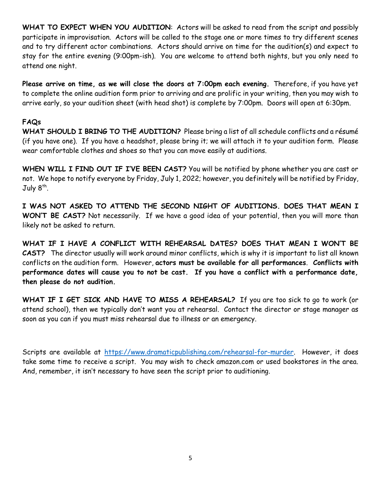**WHAT TO EXPECT WHEN YOU AUDITION**: Actors will be asked to read from the script and possibly participate in improvisation. Actors will be called to the stage one or more times to try different scenes and to try different actor combinations. Actors should arrive on time for the audition(s) and expect to stay for the entire evening (9:00pm-ish). You are welcome to attend both nights, but you only need to attend one night.

**Please arrive on time, as we will close the doors at 7:00pm each evening.** Therefore, if you have yet to complete the online audition form prior to arriving and are prolific in your writing, then you may wish to arrive early, so your audition sheet (with head shot) is complete by 7:00pm. Doors will open at 6:30pm.

## **FAQs**

**WHAT SHOULD I BRING TO THE AUDITION?** Please bring a list of all schedule conflicts and a résumé (if you have one). If you have a headshot, please bring it; we will attach it to your audition form. Please wear comfortable clothes and shoes so that you can move easily at auditions.

**WHEN WILL I FIND OUT IF I'VE BEEN CAST?** You will be notified by phone whether you are cast or not. We hope to notify everyone by Friday, July 1, 2022; however, you definitely will be notified by Friday, July  $8$ <sup>th</sup>.

**I WAS NOT ASKED TO ATTEND THE SECOND NIGHT OF AUDITIONS. DOES THAT MEAN I WON'T BE CAST?** Not necessarily. If we have a good idea of your potential, then you will more than likely not be asked to return.

**WHAT IF I HAVE A CONFLICT WITH REHEARSAL DATES? DOES THAT MEAN I WON'T BE CAST?** The director usually will work around minor conflicts, which is why it is important to list all known conflicts on the audition form. However, **actors must be available for all performances**. **Conflicts with performance dates will cause you to not be cast. If you have a conflict with a performance date, then please do not audition.** 

**WHAT IF I GET SICK AND HAVE TO MISS A REHEARSAL?** If you are too sick to go to work (or attend school), then we typically don't want you at rehearsal. Contact the director or stage manager as soon as you can if you must miss rehearsal due to illness or an emergency.

Scripts are available at https://www.dramaticpublishing.com/rehearsal-for-murder. However, it does take some time to receive a script. You may wish to check amazon.com or used bookstores in the area. And, remember, it isn't necessary to have seen the script prior to auditioning.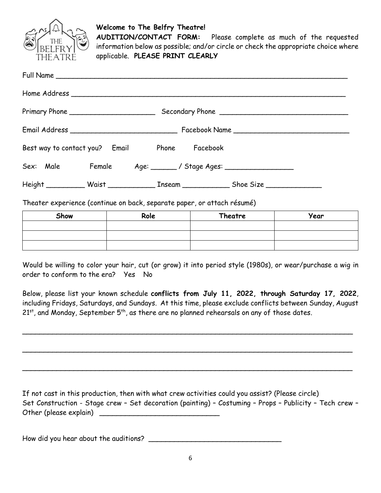

## **Welcome to The Belfry Theatre!**

**AUDITION/CONTACT FORM:** Please complete as much of the requested information below as possible; and/or circle or check the appropriate choice where applicable. **PLEASE PRINT CLEARLY** 

| Best way to contact you? Email Phone Facebook |                                                                                                     |
|-----------------------------------------------|-----------------------------------------------------------------------------------------------------|
| Sex: Male                                     | Female Age: ______/ Stage Ages: __________________                                                  |
|                                               | Height ______________ Waist _________________ Inseam _______________ Shoe Size ____________________ |

Theater experience (continue on back, separate paper, or attach résumé)

| Show | Role | Theatre | Year |
|------|------|---------|------|
|      |      |         |      |
|      |      |         |      |
|      |      |         |      |

Would be willing to color your hair, cut (or grow) it into period style (1980s), or wear/purchase a wig in order to conform to the era? Yes No

Below, please list your known schedule **conflicts from July 11, 2022, through Saturday 17, 2022**, including Fridays, Saturdays, and Sundays. At this time, please exclude conflicts between Sunday, August  $21^{st}$ , and Monday, September  $5^{th}$ , as there are no planned rehearsals on any of those dates.

\_\_\_\_\_\_\_\_\_\_\_\_\_\_\_\_\_\_\_\_\_\_\_\_\_\_\_\_\_\_\_\_\_\_\_\_\_\_\_\_\_\_\_\_\_\_\_\_\_\_\_\_\_\_\_\_\_\_\_\_\_\_\_\_\_\_\_\_\_\_\_\_\_\_\_\_\_

\_\_\_\_\_\_\_\_\_\_\_\_\_\_\_\_\_\_\_\_\_\_\_\_\_\_\_\_\_\_\_\_\_\_\_\_\_\_\_\_\_\_\_\_\_\_\_\_\_\_\_\_\_\_\_\_\_\_\_\_\_\_\_\_\_\_\_\_\_\_\_\_\_\_\_\_\_

\_\_\_\_\_\_\_\_\_\_\_\_\_\_\_\_\_\_\_\_\_\_\_\_\_\_\_\_\_\_\_\_\_\_\_\_\_\_\_\_\_\_\_\_\_\_\_\_\_\_\_\_\_\_\_\_\_\_\_\_\_\_\_\_\_\_\_\_\_\_\_\_\_\_\_\_\_

If not cast in this production, then with what crew activities could you assist? (Please circle) Set Construction - Stage crew – Set decoration (painting) – Costuming – Props – Publicity – Tech crew – Other (please explain)  $\Box$ 

How did you hear about the auditions?